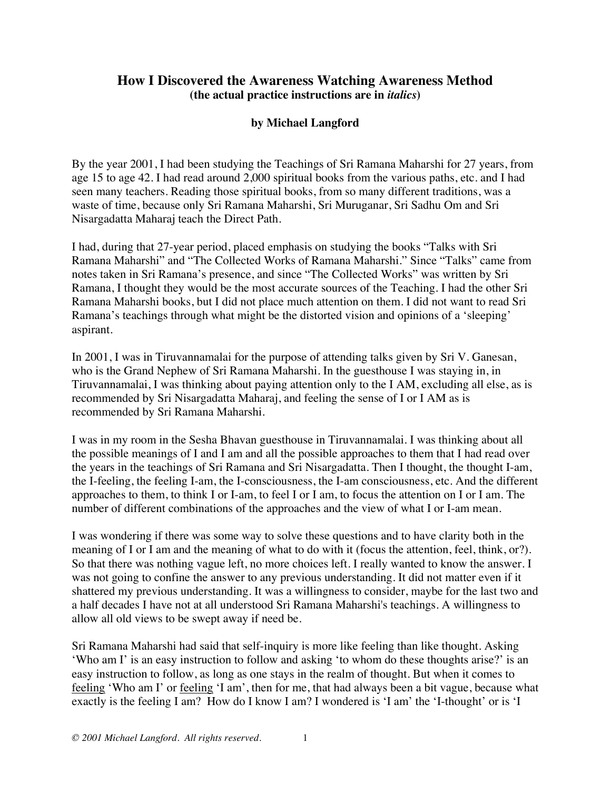## **How I Discovered the Awareness Watching Awareness Method (the actual practice instructions are in** *italics***)**

## **by Michael Langford**

By the year 2001, I had been studying the Teachings of Sri Ramana Maharshi for 27 years, from age 15 to age 42. I had read around 2,000 spiritual books from the various paths, etc. and I had seen many teachers. Reading those spiritual books, from so many different traditions, was a waste of time, because only Sri Ramana Maharshi, Sri Muruganar, Sri Sadhu Om and Sri Nisargadatta Maharaj teach the Direct Path.

I had, during that 27-year period, placed emphasis on studying the books "Talks with Sri Ramana Maharshi" and "The Collected Works of Ramana Maharshi." Since "Talks" came from notes taken in Sri Ramana's presence, and since "The Collected Works" was written by Sri Ramana, I thought they would be the most accurate sources of the Teaching. I had the other Sri Ramana Maharshi books, but I did not place much attention on them. I did not want to read Sri Ramana's teachings through what might be the distorted vision and opinions of a 'sleeping' aspirant.

In 2001, I was in Tiruvannamalai for the purpose of attending talks given by Sri V. Ganesan, who is the Grand Nephew of Sri Ramana Maharshi. In the guesthouse I was staying in, in Tiruvannamalai, I was thinking about paying attention only to the I AM, excluding all else, as is recommended by Sri Nisargadatta Maharaj, and feeling the sense of I or I AM as is recommended by Sri Ramana Maharshi.

I was in my room in the Sesha Bhavan guesthouse in Tiruvannamalai. I was thinking about all the possible meanings of I and I am and all the possible approaches to them that I had read over the years in the teachings of Sri Ramana and Sri Nisargadatta. Then I thought, the thought I-am, the I-feeling, the feeling I-am, the I-consciousness, the I-am consciousness, etc. And the different approaches to them, to think I or I-am, to feel I or I am, to focus the attention on I or I am. The number of different combinations of the approaches and the view of what I or I-am mean.

I was wondering if there was some way to solve these questions and to have clarity both in the meaning of I or I am and the meaning of what to do with it (focus the attention, feel, think, or?). So that there was nothing vague left, no more choices left. I really wanted to know the answer. I was not going to confine the answer to any previous understanding. It did not matter even if it shattered my previous understanding. It was a willingness to consider, maybe for the last two and a half decades I have not at all understood Sri Ramana Maharshi's teachings. A willingness to allow all old views to be swept away if need be.

Sri Ramana Maharshi had said that self-inquiry is more like feeling than like thought. Asking 'Who am I' is an easy instruction to follow and asking 'to whom do these thoughts arise?' is an easy instruction to follow, as long as one stays in the realm of thought. But when it comes to feeling 'Who am I' or feeling 'I am', then for me, that had always been a bit vague, because what exactly is the feeling I am? How do I know I am? I wondered is 'I am' the 'I-thought' or is 'I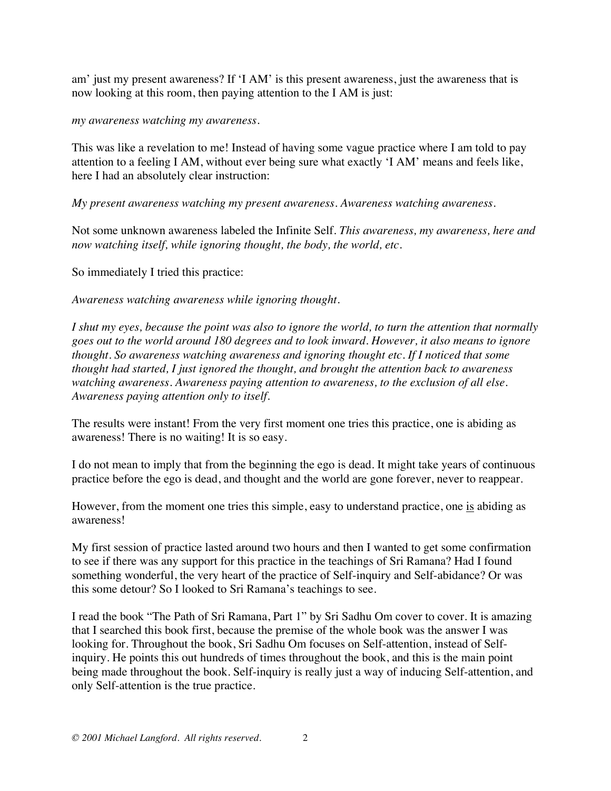am' just my present awareness? If 'I AM' is this present awareness, just the awareness that is now looking at this room, then paying attention to the I AM is just:

*my awareness watching my awareness*.

This was like a revelation to me! Instead of having some vague practice where I am told to pay attention to a feeling I AM, without ever being sure what exactly 'I AM' means and feels like, here I had an absolutely clear instruction:

*My present awareness watching my present awareness. Awareness watching awareness.* 

Not some unknown awareness labeled the Infinite Self. *This awareness, my awareness, here and now watching itself, while ignoring thought, the body, the world, etc.* 

So immediately I tried this practice:

*Awareness watching awareness while ignoring thought.* 

*I shut my eyes, because the point was also to ignore the world, to turn the attention that normally goes out to the world around 180 degrees and to look inward. However, it also means to ignore thought. So awareness watching awareness and ignoring thought etc. If I noticed that some thought had started, I just ignored the thought, and brought the attention back to awareness watching awareness. Awareness paying attention to awareness, to the exclusion of all else. Awareness paying attention only to itself.* 

The results were instant! From the very first moment one tries this practice, one is abiding as awareness! There is no waiting! It is so easy.

I do not mean to imply that from the beginning the ego is dead. It might take years of continuous practice before the ego is dead, and thought and the world are gone forever, never to reappear.

However, from the moment one tries this simple, easy to understand practice, one is abiding as awareness!

My first session of practice lasted around two hours and then I wanted to get some confirmation to see if there was any support for this practice in the teachings of Sri Ramana? Had I found something wonderful, the very heart of the practice of Self-inquiry and Self-abidance? Or was this some detour? So I looked to Sri Ramana's teachings to see.

I read the book "The Path of Sri Ramana, Part 1" by Sri Sadhu Om cover to cover. It is amazing that I searched this book first, because the premise of the whole book was the answer I was looking for. Throughout the book, Sri Sadhu Om focuses on Self-attention, instead of Selfinquiry. He points this out hundreds of times throughout the book, and this is the main point being made throughout the book. Self-inquiry is really just a way of inducing Self-attention, and only Self-attention is the true practice.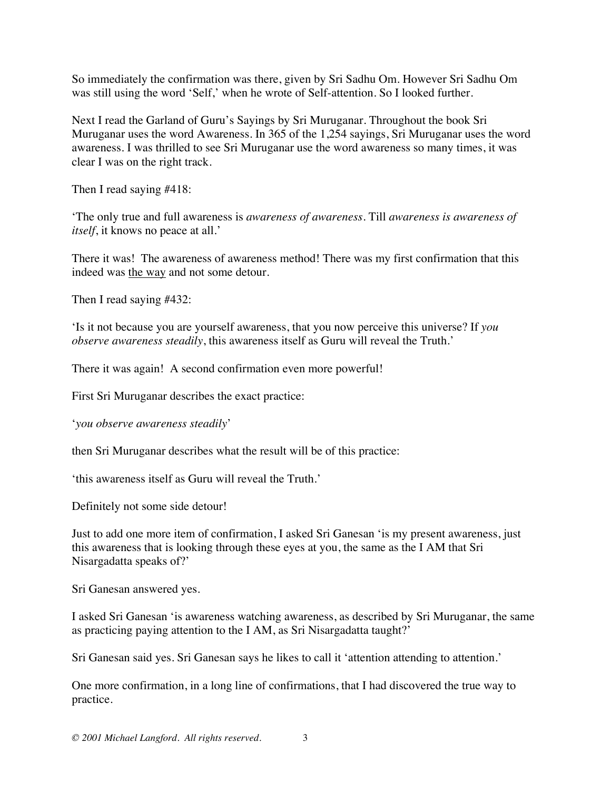So immediately the confirmation was there, given by Sri Sadhu Om. However Sri Sadhu Om was still using the word 'Self,' when he wrote of Self-attention. So I looked further.

Next I read the Garland of Guru's Sayings by Sri Muruganar. Throughout the book Sri Muruganar uses the word Awareness. In 365 of the 1,254 sayings, Sri Muruganar uses the word awareness. I was thrilled to see Sri Muruganar use the word awareness so many times, it was clear I was on the right track.

Then I read saying #418:

'The only true and full awareness is *awareness of awareness*. Till *awareness is awareness of itself*, it knows no peace at all.'

There it was! The awareness of awareness method! There was my first confirmation that this indeed was the way and not some detour.

Then I read saying #432:

'Is it not because you are yourself awareness, that you now perceive this universe? If *you observe awareness steadily*, this awareness itself as Guru will reveal the Truth.'

There it was again! A second confirmation even more powerful!

First Sri Muruganar describes the exact practice:

'*you observe awareness steadily*'

then Sri Muruganar describes what the result will be of this practice:

'this awareness itself as Guru will reveal the Truth.'

Definitely not some side detour!

Just to add one more item of confirmation, I asked Sri Ganesan 'is my present awareness, just this awareness that is looking through these eyes at you, the same as the I AM that Sri Nisargadatta speaks of?'

Sri Ganesan answered yes.

I asked Sri Ganesan 'is awareness watching awareness, as described by Sri Muruganar, the same as practicing paying attention to the I AM, as Sri Nisargadatta taught?'

Sri Ganesan said yes. Sri Ganesan says he likes to call it 'attention attending to attention.'

One more confirmation, in a long line of confirmations, that I had discovered the true way to practice.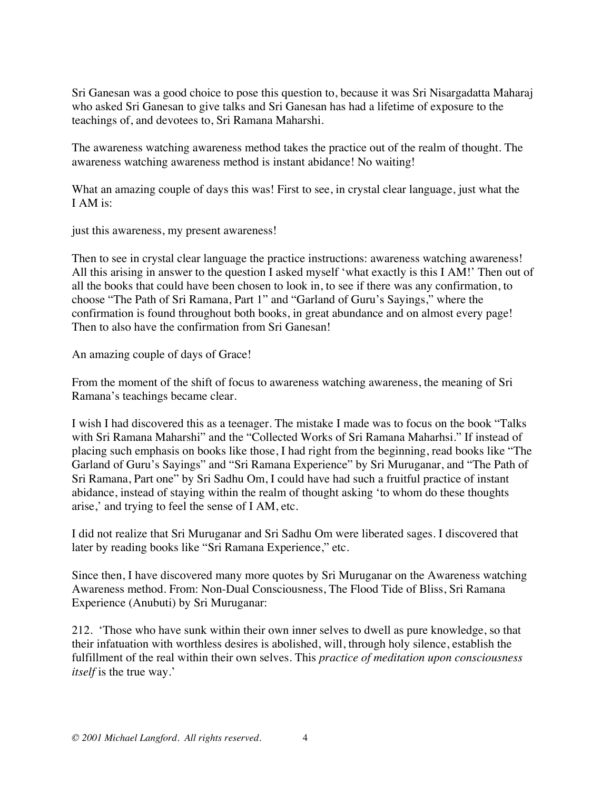Sri Ganesan was a good choice to pose this question to, because it was Sri Nisargadatta Maharaj who asked Sri Ganesan to give talks and Sri Ganesan has had a lifetime of exposure to the teachings of, and devotees to, Sri Ramana Maharshi.

The awareness watching awareness method takes the practice out of the realm of thought. The awareness watching awareness method is instant abidance! No waiting!

What an amazing couple of days this was! First to see, in crystal clear language, just what the I AM is:

just this awareness, my present awareness!

Then to see in crystal clear language the practice instructions: awareness watching awareness! All this arising in answer to the question I asked myself 'what exactly is this I AM!' Then out of all the books that could have been chosen to look in, to see if there was any confirmation, to choose "The Path of Sri Ramana, Part 1" and "Garland of Guru's Sayings," where the confirmation is found throughout both books, in great abundance and on almost every page! Then to also have the confirmation from Sri Ganesan!

An amazing couple of days of Grace!

From the moment of the shift of focus to awareness watching awareness, the meaning of Sri Ramana's teachings became clear.

I wish I had discovered this as a teenager. The mistake I made was to focus on the book "Talks with Sri Ramana Maharshi" and the "Collected Works of Sri Ramana Maharhsi." If instead of placing such emphasis on books like those, I had right from the beginning, read books like "The Garland of Guru's Sayings" and "Sri Ramana Experience" by Sri Muruganar, and "The Path of Sri Ramana, Part one" by Sri Sadhu Om, I could have had such a fruitful practice of instant abidance, instead of staying within the realm of thought asking 'to whom do these thoughts arise,' and trying to feel the sense of I AM, etc.

I did not realize that Sri Muruganar and Sri Sadhu Om were liberated sages. I discovered that later by reading books like "Sri Ramana Experience," etc.

Since then, I have discovered many more quotes by Sri Muruganar on the Awareness watching Awareness method. From: Non-Dual Consciousness, The Flood Tide of Bliss, Sri Ramana Experience (Anubuti) by Sri Muruganar:

212. 'Those who have sunk within their own inner selves to dwell as pure knowledge, so that their infatuation with worthless desires is abolished, will, through holy silence, establish the fulfillment of the real within their own selves. This *practice of meditation upon consciousness itself* is the true way.'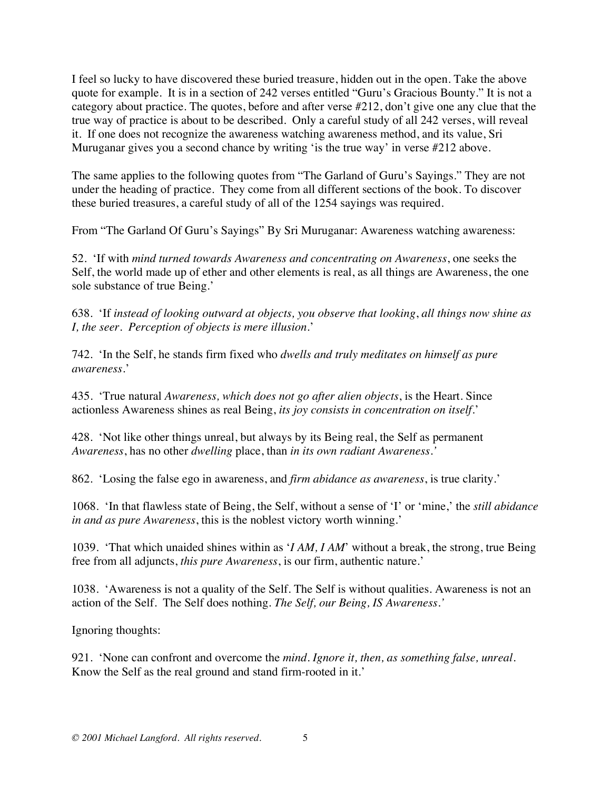I feel so lucky to have discovered these buried treasure, hidden out in the open. Take the above quote for example. It is in a section of 242 verses entitled "Guru's Gracious Bounty." It is not a category about practice. The quotes, before and after verse #212, don't give one any clue that the true way of practice is about to be described. Only a careful study of all 242 verses, will reveal it. If one does not recognize the awareness watching awareness method, and its value, Sri Muruganar gives you a second chance by writing 'is the true way' in verse #212 above.

The same applies to the following quotes from "The Garland of Guru's Sayings." They are not under the heading of practice. They come from all different sections of the book. To discover these buried treasures, a careful study of all of the 1254 sayings was required.

From "The Garland Of Guru's Sayings" By Sri Muruganar: Awareness watching awareness:

52. 'If with *mind turned towards Awareness and concentrating on Awareness*, one seeks the Self, the world made up of ether and other elements is real, as all things are Awareness, the one sole substance of true Being.'

638. 'If *instead of looking outward at objects, you observe that looking*, *all things now shine as I, the seer. Perception of objects is mere illusion*.'

742. 'In the Self, he stands firm fixed who *dwells and truly meditates on himself as pure awareness*.'

435. 'True natural *Awareness, which does not go after alien objects*, is the Heart. Since actionless Awareness shines as real Being, *its joy consists in concentration on itself*.'

428. 'Not like other things unreal, but always by its Being real, the Self as permanent *Awareness*, has no other *dwelling* place, than *in its own radiant Awareness.'*

862. 'Losing the false ego in awareness, and *firm abidance as awareness*, is true clarity.'

1068. 'In that flawless state of Being, the Self, without a sense of 'I' or 'mine,' the *still abidance in and as pure Awareness*, this is the noblest victory worth winning.'

1039. 'That which unaided shines within as '*I AM, I AM*' without a break, the strong, true Being free from all adjuncts, *this pure Awareness*, is our firm, authentic nature.'

1038. 'Awareness is not a quality of the Self. The Self is without qualities. Awareness is not an action of the Self. The Self does nothing. *The Self, our Being, IS Awareness.'* 

Ignoring thoughts:

921. 'None can confront and overcome the *mind. Ignore it, then, as something false, unreal*. Know the Self as the real ground and stand firm-rooted in it.'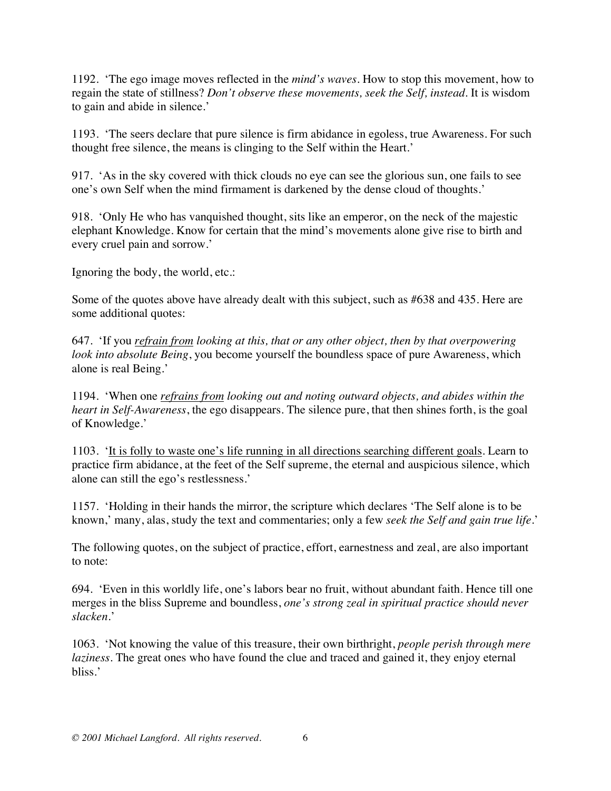1192. 'The ego image moves reflected in the *mind's waves*. How to stop this movement, how to regain the state of stillness? *Don't observe these movements, seek the Self, instead*. It is wisdom to gain and abide in silence.'

1193. 'The seers declare that pure silence is firm abidance in egoless, true Awareness. For such thought free silence, the means is clinging to the Self within the Heart.'

917. 'As in the sky covered with thick clouds no eye can see the glorious sun, one fails to see one's own Self when the mind firmament is darkened by the dense cloud of thoughts.'

918. 'Only He who has vanquished thought, sits like an emperor, on the neck of the majestic elephant Knowledge. Know for certain that the mind's movements alone give rise to birth and every cruel pain and sorrow.'

Ignoring the body, the world, etc.:

Some of the quotes above have already dealt with this subject, such as #638 and 435. Here are some additional quotes:

647. 'If you *refrain from looking at this, that or any other object, then by that overpowering look into absolute Being*, you become yourself the boundless space of pure Awareness, which alone is real Being.'

1194. 'When one *refrains from looking out and noting outward objects, and abides within the heart in Self-Awareness*, the ego disappears. The silence pure, that then shines forth, is the goal of Knowledge.'

1103. 'It is folly to waste one's life running in all directions searching different goals. Learn to practice firm abidance, at the feet of the Self supreme, the eternal and auspicious silence, which alone can still the ego's restlessness.'

1157. 'Holding in their hands the mirror, the scripture which declares 'The Self alone is to be known,' many, alas, study the text and commentaries; only a few *seek the Self and gain true life*.'

The following quotes, on the subject of practice, effort, earnestness and zeal, are also important to note:

694. 'Even in this worldly life, one's labors bear no fruit, without abundant faith. Hence till one merges in the bliss Supreme and boundless, *one's strong zeal in spiritual practice should never slacken*.'

1063. 'Not knowing the value of this treasure, their own birthright, *people perish through mere laziness*. The great ones who have found the clue and traced and gained it, they enjoy eternal bliss.'